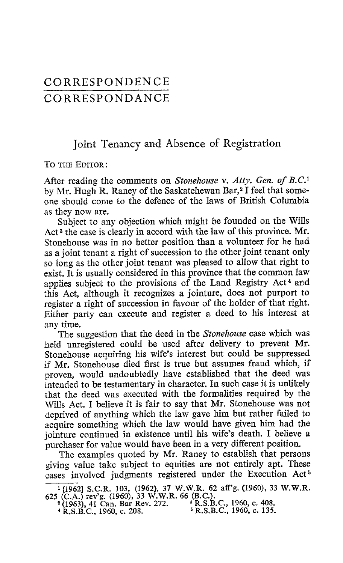## CORRESPONDENCE CORRESPONDANCE

## Joint Tenancy and Absence of Registration

TO THE EDITOR:

After reading the comments on Stonehouse v. Atty. Gen. of B.C.<sup>1</sup> by Mr. Hugh R. Raney of the Saskatchewan Bar,<sup>2</sup> I feel that someone should come to the defence of the laws of British Columbia as they now are.

Subject to any objection which might be founded on the Wills Act <sup>3</sup> the case is clearly in accord with the law of this province. Mr. Stonehouse was in no better position than a volunteer for he had as a joint tenant a right of succession to the other joint tenant only so long as the other joint tenant was pleased to allow that right to exist. It is usually considered in this province that the common law applies subject to the provisions of the Land Registry Act<sup>4</sup> and this Act, although it recognizes a jointure, does not purport to register a right of succession in favour of the holder of that right. Either party can execute and register a deed to his interest at any time.

The suggestion that the deed in the Stonehouse case which was held unregistered could be used after delivery to prevent Mr. Stonehouse acquiring his wife's interest but could be suppressed if Mr. Stonehouse died first is true but assumes fraud which, if proven, would undoubtedly have established that the deed was intended to be testamentary in character. In such case it is unlikely that the deed was executed with the formalities required by the Wills Act. <sup>I</sup> believe it is fair to say that Mr. Stonehouse was not deprived of anything which the law gave him but rather failed to acquire something which the law would have given him had the jointure continued in existence until his wife's death. <sup>I</sup> believe a purchaser for value would have been in a very different position.

The examples quoted by Mr. Raney to establish that persons giving value take subject to equities are not entirely apt. These cases involved judgments registered under the Execution Act<sup>5</sup>

 $\frac{1}{1962}$  S.C.R. 103, (1962), 37 W.W.R. 62 aff'g. (1960), 33 W.W.R.<br>(CA) rev's (1960), 33 W.W.R. 66 (R.C.) 625 (C.A.) rev'g. (1960), 33 W.W.R. 66 (B.C.).<br>
<sup>2</sup> (1963), 41 Can. Bar Rev. 272.<br>
<sup>2</sup> R.S.B.C., 1960, c. 408.<br>
<sup>2</sup> R.S.B.C., 1960, c. 408.

<sup>&</sup>lt;sup>4</sup> R.S.B.C., 1960, c. 208.<br>**SIMPLE 1960, c.** 208.